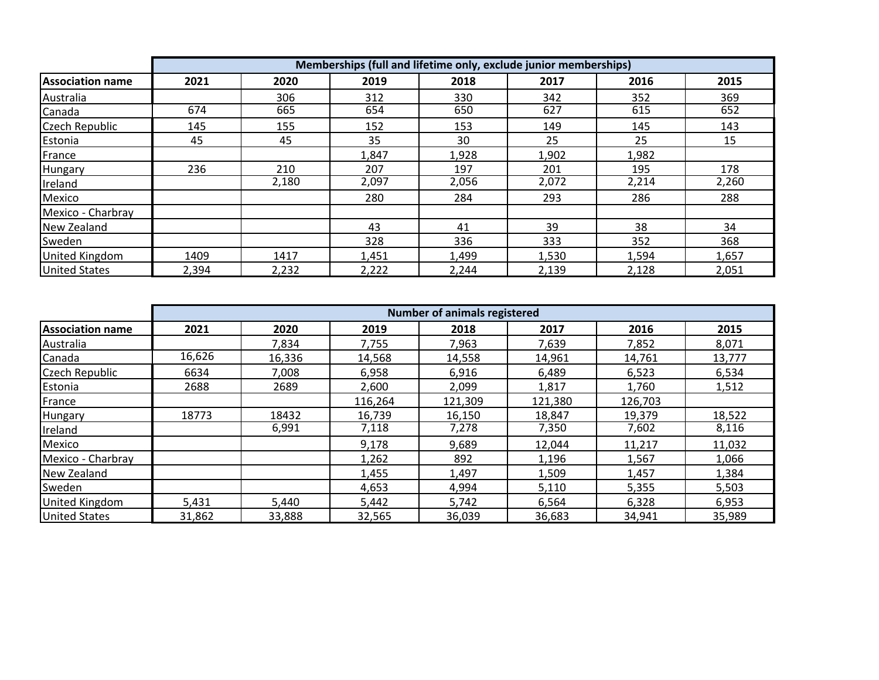|                         | Memberships (full and lifetime only, exclude junior memberships) |       |       |       |       |       |       |  |
|-------------------------|------------------------------------------------------------------|-------|-------|-------|-------|-------|-------|--|
| <b>Association name</b> | 2021                                                             | 2020  | 2019  | 2018  | 2017  | 2016  | 2015  |  |
| Australia               |                                                                  | 306   | 312   | 330   | 342   | 352   | 369   |  |
| Canada                  | 674                                                              | 665   | 654   | 650   | 627   | 615   | 652   |  |
| <b>Czech Republic</b>   | 145                                                              | 155   | 152   | 153   | 149   | 145   | 143   |  |
| Estonia                 | 45                                                               | 45    | 35    | 30    | 25    | 25    | 15    |  |
| France                  |                                                                  |       | 1,847 | 1,928 | 1,902 | 1,982 |       |  |
| Hungary                 | 236                                                              | 210   | 207   | 197   | 201   | 195   | 178   |  |
| Ireland                 |                                                                  | 2,180 | 2,097 | 2,056 | 2,072 | 2,214 | 2,260 |  |
| Mexico                  |                                                                  |       | 280   | 284   | 293   | 286   | 288   |  |
| Mexico - Charbray       |                                                                  |       |       |       |       |       |       |  |
| New Zealand             |                                                                  |       | 43    | 41    | 39    | 38    | 34    |  |
| Sweden                  |                                                                  |       | 328   | 336   | 333   | 352   | 368   |  |
| <b>United Kingdom</b>   | 1409                                                             | 1417  | 1,451 | 1,499 | 1,530 | 1,594 | 1,657 |  |
| <b>United States</b>    | 2,394                                                            | 2,232 | 2,222 | 2,244 | 2,139 | 2,128 | 2,051 |  |

|                         | <b>Number of animals registered</b> |        |         |         |         |         |        |  |
|-------------------------|-------------------------------------|--------|---------|---------|---------|---------|--------|--|
| <b>Association name</b> | 2021                                | 2020   | 2019    | 2018    | 2017    | 2016    | 2015   |  |
| Australia               |                                     | 7,834  | 7,755   | 7,963   | 7,639   | 7,852   | 8,071  |  |
| Canada                  | 16,626                              | 16,336 | 14,568  | 14,558  | 14,961  | 14,761  | 13,777 |  |
| <b>Czech Republic</b>   | 6634                                | 7,008  | 6,958   | 6,916   | 6,489   | 6,523   | 6,534  |  |
| Estonia                 | 2688                                | 2689   | 2,600   | 2,099   | 1,817   | 1,760   | 1,512  |  |
| France                  |                                     |        | 116,264 | 121,309 | 121,380 | 126,703 |        |  |
| Hungary                 | 18773                               | 18432  | 16,739  | 16,150  | 18,847  | 19,379  | 18,522 |  |
| Ireland                 |                                     | 6,991  | 7,118   | 7,278   | 7,350   | 7,602   | 8,116  |  |
| Mexico                  |                                     |        | 9,178   | 9,689   | 12,044  | 11,217  | 11,032 |  |
| Mexico - Charbray       |                                     |        | 1,262   | 892     | 1,196   | 1,567   | 1,066  |  |
| New Zealand             |                                     |        | 1,455   | 1,497   | 1,509   | 1,457   | 1,384  |  |
| Sweden                  |                                     |        | 4,653   | 4,994   | 5,110   | 5,355   | 5,503  |  |
| <b>United Kingdom</b>   | 5,431                               | 5,440  | 5,442   | 5,742   | 6,564   | 6,328   | 6,953  |  |
| <b>United States</b>    | 31,862                              | 33,888 | 32,565  | 36,039  | 36,683  | 34,941  | 35,989 |  |